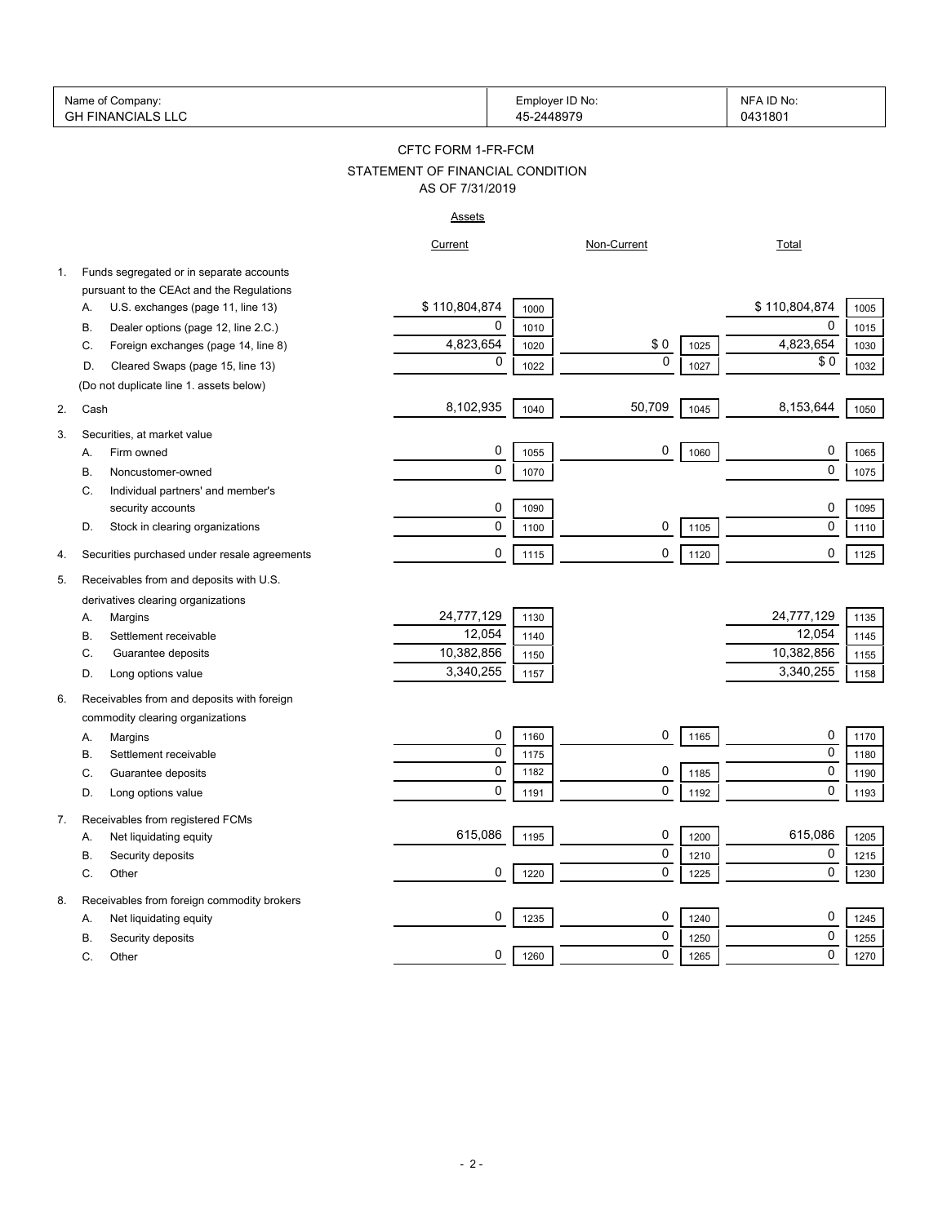| Name of<br>Company:                                       | Employer ID No:<br>$\sim$ | NFA<br>. ID No: |
|-----------------------------------------------------------|---------------------------|-----------------|
| $\sqrt{2}$<br>FINANC!<br>$\sim$ 1<br>GH<br>⊣ ∆ا .<br>L V. | $-244897c$                | 0431801<br>.    |

# STATEMENT OF FINANCIAL CONDITION CFTC FORM 1-FR-FCM AS OF 7/31/2019

#### Assets

|            |                                              | Current        |      | Non-Current |      | Total         |      |
|------------|----------------------------------------------|----------------|------|-------------|------|---------------|------|
| 1.         | Funds segregated or in separate accounts     |                |      |             |      |               |      |
|            | pursuant to the CEAct and the Regulations    |                |      |             |      |               |      |
| А.         | U.S. exchanges (page 11, line 13)            | \$110,804,874  | 1000 |             |      | \$110,804,874 | 1005 |
| В.         | Dealer options (page 12, line 2.C.)          | 0              | 1010 |             |      | $\mathbf 0$   | 1015 |
| C.         | Foreign exchanges (page 14, line 8)          | 4,823,654      | 1020 | \$0         | 1025 | 4,823,654     | 1030 |
| D.         | Cleared Swaps (page 15, line 13)             | $\mathbf 0$    | 1022 | $\mathbf 0$ | 1027 | \$0           | 1032 |
|            | (Do not duplicate line 1. assets below)      |                |      |             |      |               |      |
| 2.<br>Cash |                                              | 8,102,935      | 1040 | 50,709      | 1045 | 8,153,644     | 1050 |
| 3.         | Securities, at market value                  |                |      |             |      |               |      |
| А.         | Firm owned                                   | 0              | 1055 | 0           | 1060 | 0             | 1065 |
| В.         | Noncustomer-owned                            | $\mathbf 0$    | 1070 |             |      | $\mathbf 0$   | 1075 |
| C.         | Individual partners' and member's            |                |      |             |      |               |      |
|            | security accounts                            | 0              | 1090 |             |      | 0             | 1095 |
| D.         | Stock in clearing organizations              | $\mathbf 0$    | 1100 | 0           | 1105 | $\mathbf 0$   | 1110 |
| 4.         | Securities purchased under resale agreements | 0              | 1115 | 0           | 1120 | 0             | 1125 |
| 5.         | Receivables from and deposits with U.S.      |                |      |             |      |               |      |
|            | derivatives clearing organizations           |                |      |             |      |               |      |
| А.         | Margins                                      | 24,777,129     | 1130 |             |      | 24,777,129    | 1135 |
| В.         | Settlement receivable                        | 12,054         | 1140 |             |      | 12,054        | 1145 |
| C.         | Guarantee deposits                           | 10,382,856     | 1150 |             |      | 10,382,856    | 1155 |
| D.         | Long options value                           | 3,340,255      | 1157 |             |      | 3,340,255     | 1158 |
| 6.         | Receivables from and deposits with foreign   |                |      |             |      |               |      |
|            | commodity clearing organizations             |                |      |             |      |               |      |
| А.         | Margins                                      | 0              | 1160 | 0           | 1165 | 0             | 1170 |
| В.         | Settlement receivable                        | $\pmb{0}$      | 1175 |             |      | 0             | 1180 |
| С.         | Guarantee deposits                           | $\overline{0}$ | 1182 | 0           | 1185 | 0             | 1190 |
| D.         | Long options value                           | $\mathbf 0$    | 1191 | 0           | 1192 | $\mathbf 0$   | 1193 |
| 7.         | Receivables from registered FCMs             |                |      |             |      |               |      |
| А.         | Net liquidating equity                       | 615,086        | 1195 | 0           | 1200 | 615,086       | 1205 |
| В.         | Security deposits                            |                |      | 0           | 1210 | 0             | 1215 |
| C.         | Other                                        | $\mathbf 0$    | 1220 | 0           | 1225 | $\mathbf 0$   | 1230 |
| 8.         | Receivables from foreign commodity brokers   |                |      |             |      |               |      |
| А.         | Net liquidating equity                       | 0              | 1235 | 0           | 1240 | 0             | 1245 |
| В.         | Security deposits                            |                |      | 0           | 1250 | 0             | 1255 |
| C.         | Other                                        | 0              | 1260 | 0           | 1265 | 0             | 1270 |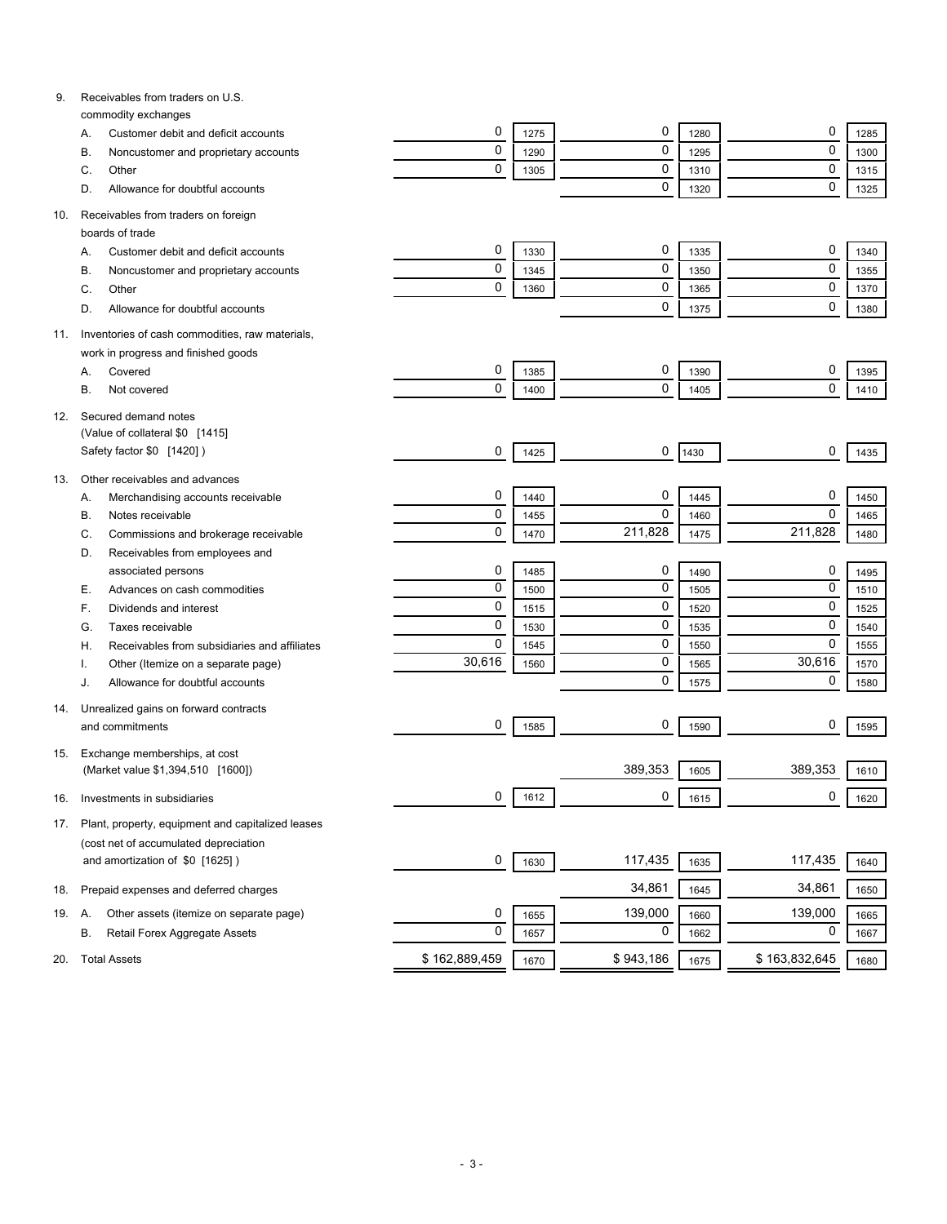| 9.  | Receivables from traders on U.S.                       |                |      |           |              |               |              |
|-----|--------------------------------------------------------|----------------|------|-----------|--------------|---------------|--------------|
|     | commodity exchanges                                    | 0              | 1275 | 0         |              | 0             |              |
|     | Customer debit and deficit accounts<br>А.<br>В.        | 0              | 1290 | 0         | 1280<br>1295 | 0             | 1285<br>1300 |
|     | Noncustomer and proprietary accounts<br>С.<br>Other    | 0              | 1305 | 0         |              | 0             |              |
|     | Allowance for doubtful accounts<br>D.                  |                |      | 0         | 1310<br>1320 | 0             | 1315<br>1325 |
|     |                                                        |                |      |           |              |               |              |
| 10. | Receivables from traders on foreign<br>boards of trade |                |      |           |              |               |              |
|     | Customer debit and deficit accounts<br>А.              | 0              | 1330 | 0         | 1335         | 0             | 1340         |
|     | В.<br>Noncustomer and proprietary accounts             | 0              | 1345 | 0         | 1350         | 0             | 1355         |
|     | C.<br>Other                                            | 0              | 1360 | 0         | 1365         | 0             | 1370         |
|     | Allowance for doubtful accounts<br>D.                  |                |      | 0         | 1375         | 0             | 1380         |
|     |                                                        |                |      |           |              |               |              |
| 11. | Inventories of cash commodities, raw materials,        |                |      |           |              |               |              |
|     | work in progress and finished goods                    |                |      |           |              |               |              |
|     | Covered<br>А.                                          | 0              | 1385 | 0         | 1390         | 0             | 1395         |
|     | В.<br>Not covered                                      | 0              | 1400 | 0         | 1405         | $\mathbf 0$   | 1410         |
| 12. | Secured demand notes                                   |                |      |           |              |               |              |
|     | (Value of collateral \$0 [1415]                        |                |      |           |              |               |              |
|     | Safety factor \$0 [1420])                              | 0              | 1425 | 0         | 1430         | 0             | 1435         |
| 13. | Other receivables and advances                         |                |      |           |              |               |              |
|     | Α.<br>Merchandising accounts receivable                | 0              | 1440 | 0         | 1445         | 0             | 1450         |
|     | В.<br>Notes receivable                                 | 0              | 1455 | 0         | 1460         | $\mathbf 0$   | 1465         |
|     | C.<br>Commissions and brokerage receivable             | 0              | 1470 | 211,828   | 1475         | 211.828       | 1480         |
|     | D.<br>Receivables from employees and                   |                |      |           |              |               |              |
|     | associated persons                                     | 0              | 1485 | 0         | 1490         | 0             | 1495         |
|     | Е.<br>Advances on cash commodities                     | $\overline{0}$ | 1500 | 0         | 1505         | 0             | 1510         |
|     | F.<br>Dividends and interest                           | 0              | 1515 | 0         | 1520         | 0             | 1525         |
|     | G.<br>Taxes receivable                                 | 0              | 1530 | 0         | 1535         | 0             | 1540         |
|     | Receivables from subsidiaries and affiliates<br>Η.     | 0              | 1545 | 0         | 1550         | 0             | 1555         |
|     | Other (Itemize on a separate page)                     | 30,616         | 1560 | 0         | 1565         | 30,616        | 1570         |
|     | Allowance for doubtful accounts<br>J.                  |                |      | 0         | 1575         | 0             | 1580         |
| 14. | Unrealized gains on forward contracts                  |                |      |           |              |               |              |
|     | and commitments                                        | 0              | 1585 | 0         | 1590         | 0             | 1595         |
| 15. | Exchange memberships, at cost                          |                |      |           |              |               |              |
|     | (Market value \$1,394,510 [1600])                      |                |      | 389,353   | 1605         | 389,353       | 1610         |
| 16. | Investments in subsidiaries                            | 0              | 1612 | 0         | 1615         | 0             | 1620         |
| 17. | Plant, property, equipment and capitalized leases      |                |      |           |              |               |              |
|     | (cost net of accumulated depreciation                  |                |      |           |              |               |              |
|     | and amortization of \$0 [1625])                        | 0              | 1630 | 117,435   | 1635         | 117,435       | 1640         |
| 18. | Prepaid expenses and deferred charges                  |                |      | 34,861    | 1645         | 34,861        | 1650         |
| 19. | Other assets (itemize on separate page)<br>Α.          | 0              | 1655 | 139,000   | 1660         | 139,000       | 1665         |
|     | В.<br>Retail Forex Aggregate Assets                    | 0              | 1657 | 0         | 1662         | 0             | 1667         |
| 20. | <b>Total Assets</b>                                    | \$162,889,459  | 1670 | \$943,186 | 1675         | \$163,832,645 | 1680         |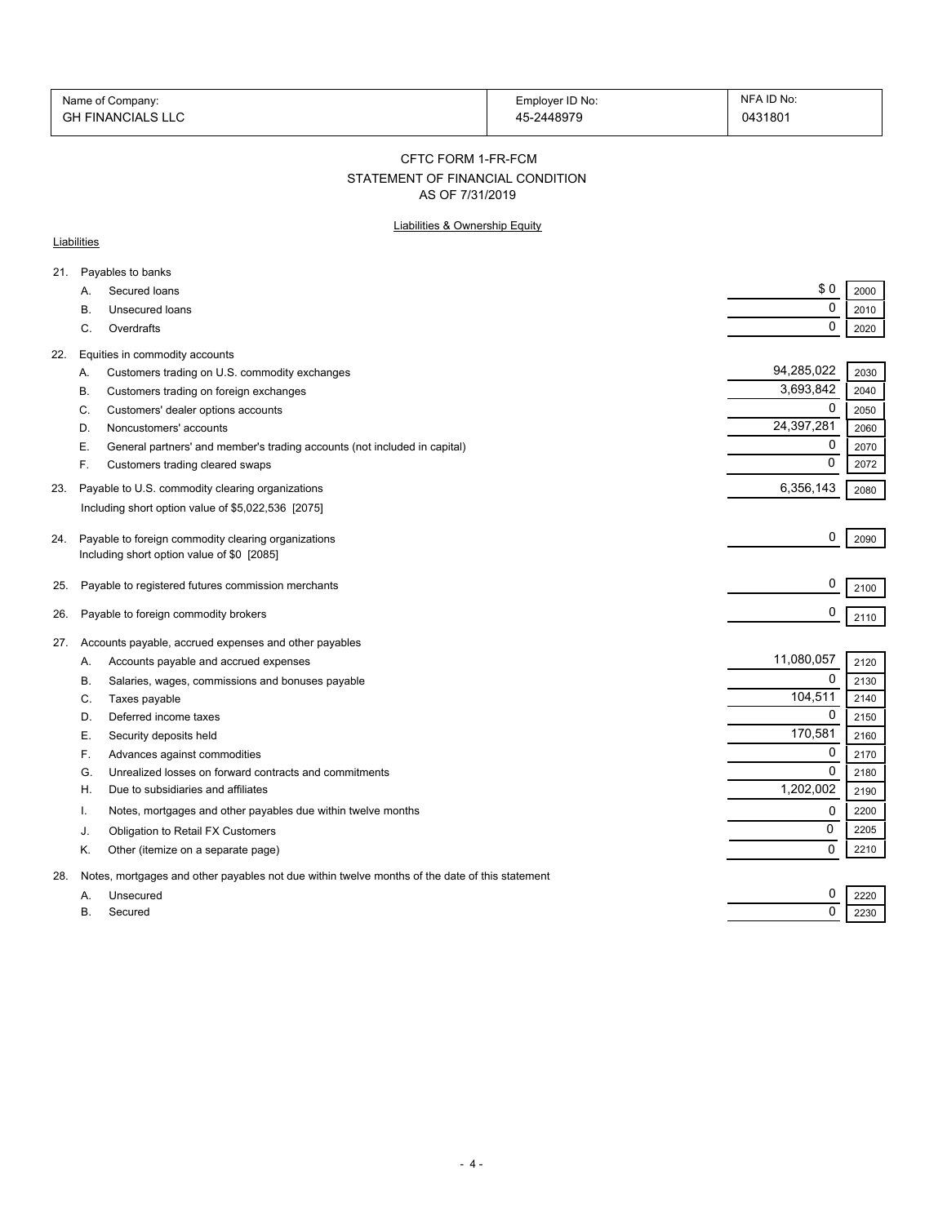| Name of Company:         | Employer ID No: | NFA ID No: |
|--------------------------|-----------------|------------|
| <b>GH FINANCIALS LLC</b> | 45-2448979      | 0431801    |

CFTC FORM 1-FR-FCM

# STATEMENT OF FINANCIAL CONDITION

AS OF 7/31/2019

### Liabilities & Ownership Equity

#### **Liabilities**

| 21. |          | Payables to banks                                                                              |             |              |
|-----|----------|------------------------------------------------------------------------------------------------|-------------|--------------|
|     | А.       | Secured loans                                                                                  | \$0         | 2000         |
|     | В.       | Unsecured loans                                                                                | 0           | 2010         |
|     | C.       | Overdrafts                                                                                     | $\mathbf 0$ | 2020         |
| 22. |          | Equities in commodity accounts                                                                 |             |              |
|     | А.       | Customers trading on U.S. commodity exchanges                                                  | 94,285,022  | 2030         |
|     | В.       | Customers trading on foreign exchanges                                                         | 3,693,842   | 2040         |
|     | C.       | Customers' dealer options accounts                                                             | 0           | 2050         |
|     | D.       | Noncustomers' accounts                                                                         | 24,397,281  | 2060         |
|     | Е.       | General partners' and member's trading accounts (not included in capital)                      | 0           | 2070         |
|     | F.       | Customers trading cleared swaps                                                                | 0           | 2072         |
| 23. |          | Payable to U.S. commodity clearing organizations                                               | 6,356,143   | 2080         |
|     |          | Including short option value of \$5,022,536 [2075]                                             |             |              |
|     |          |                                                                                                |             |              |
| 24. |          | Payable to foreign commodity clearing organizations                                            | 0           | 2090         |
|     |          | Including short option value of \$0 [2085]                                                     |             |              |
| 25. |          | Payable to registered futures commission merchants                                             | 0           | 2100         |
| 26. |          | Payable to foreign commodity brokers                                                           | 0           | 2110         |
|     |          |                                                                                                |             |              |
| 27. |          | Accounts payable, accrued expenses and other payables                                          | 11,080,057  |              |
|     | Α.       | Accounts payable and accrued expenses                                                          | $\Omega$    | 2120         |
|     | В.<br>C. | Salaries, wages, commissions and bonuses payable<br>Taxes payable                              | 104,511     | 2130<br>2140 |
|     | D.       | Deferred income taxes                                                                          | 0           | 2150         |
|     | Е.       | Security deposits held                                                                         | 170,581     | 2160         |
|     | F.       | Advances against commodities                                                                   | 0           | 2170         |
|     | G.       | Unrealized losses on forward contracts and commitments                                         | $\mathbf 0$ | 2180         |
|     | Η.       | Due to subsidiaries and affiliates                                                             | 1,202,002   | 2190         |
|     |          | Notes, mortgages and other payables due within twelve months                                   | 0           | 2200         |
|     | J.       | Obligation to Retail FX Customers                                                              | 0           | 2205         |
|     | Κ.       | Other (itemize on a separate page)                                                             | 0           | 2210         |
| 28. |          | Notes, mortgages and other payables not due within twelve months of the date of this statement |             |              |
|     | A.       | Unsecured                                                                                      | 0           | 2220         |
|     | В.       | Secured                                                                                        | $\mathbf 0$ | 2230         |
|     |          |                                                                                                |             |              |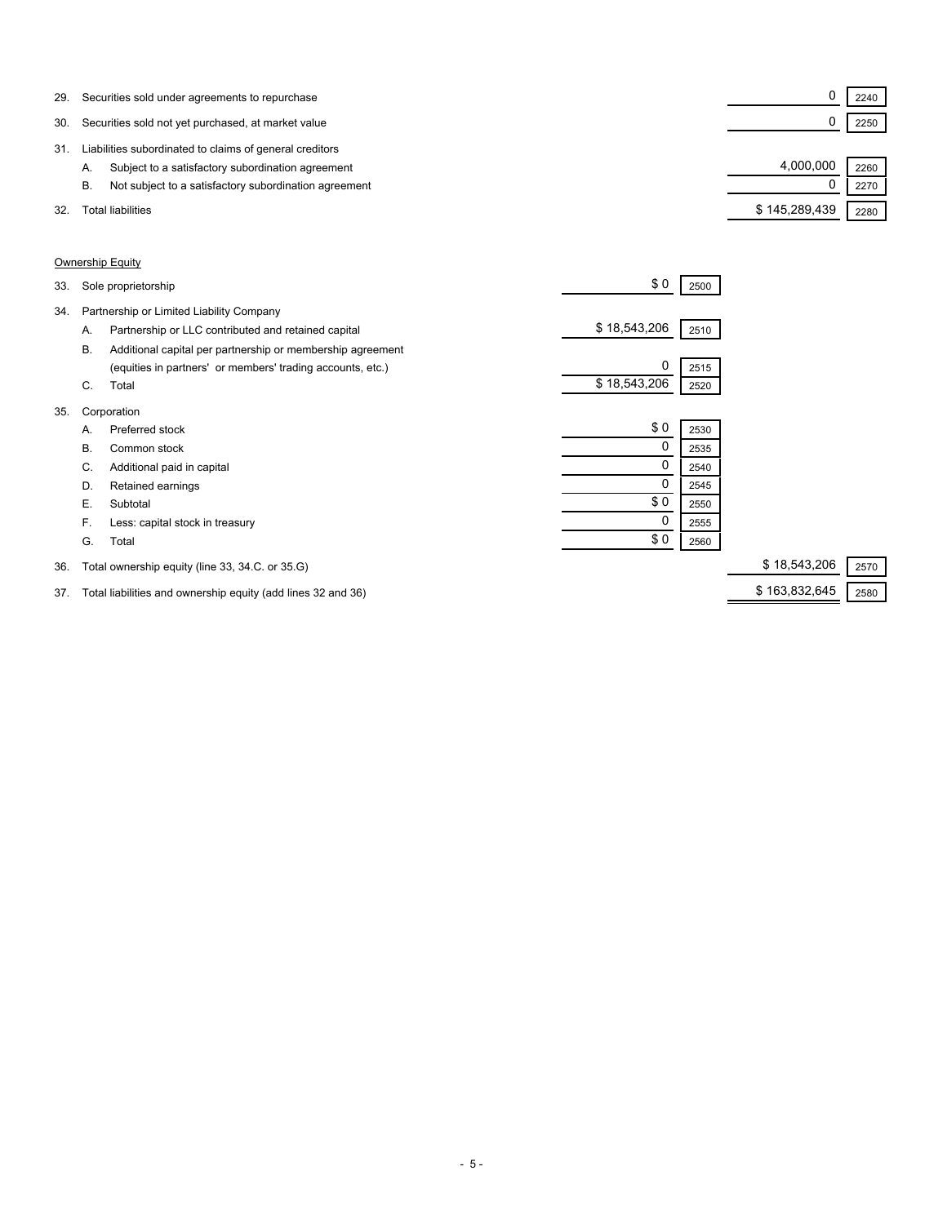| 29. | Securities sold under agreements to repurchase              |               | 2240 |
|-----|-------------------------------------------------------------|---------------|------|
| 30. | Securities sold not yet purchased, at market value          |               | 2250 |
| 31. | Liabilities subordinated to claims of general creditors     |               |      |
|     | Subject to a satisfactory subordination agreement<br>A.     | 4.000.000     | 2260 |
|     | Not subject to a satisfactory subordination agreement<br>В. |               | 2270 |
| 32  | <b>Total liabilities</b>                                    | \$145,289,439 | 2280 |

### Ownership Equity

| 33. |           | Sole proprietorship                                        | \$0          | 2500 |              |      |
|-----|-----------|------------------------------------------------------------|--------------|------|--------------|------|
| 34. |           | Partnership or Limited Liability Company                   |              |      |              |      |
|     | А.        | Partnership or LLC contributed and retained capital        | \$18,543,206 | 2510 |              |      |
|     | <b>B.</b> | Additional capital per partnership or membership agreement |              |      |              |      |
|     |           | (equities in partners' or members' trading accounts, etc.) | 0            | 2515 |              |      |
|     | C.        | Total                                                      | \$18,543,206 | 2520 |              |      |
| 35. |           | Corporation                                                |              |      |              |      |
|     | Α.        | Preferred stock                                            | \$0          | 2530 |              |      |
|     | В.        | Common stock                                               | 0            | 2535 |              |      |
|     | C.        | Additional paid in capital                                 | 0            | 2540 |              |      |
|     | D.        | Retained earnings                                          | 0            | 2545 |              |      |
|     | Е.        | Subtotal                                                   | \$0          | 2550 |              |      |
|     | F.        | Less: capital stock in treasury                            | 0            | 2555 |              |      |
|     | G.        | Total                                                      | \$0          | 2560 |              |      |
| 36. |           | Total ownership equity (line 33, 34.C. or 35.G)            |              |      | \$18,543,206 | 2570 |

37. Total liabilities and ownership equity (add lines 32 and 36) \$ 163,832,645 \$ 163,832,645 2580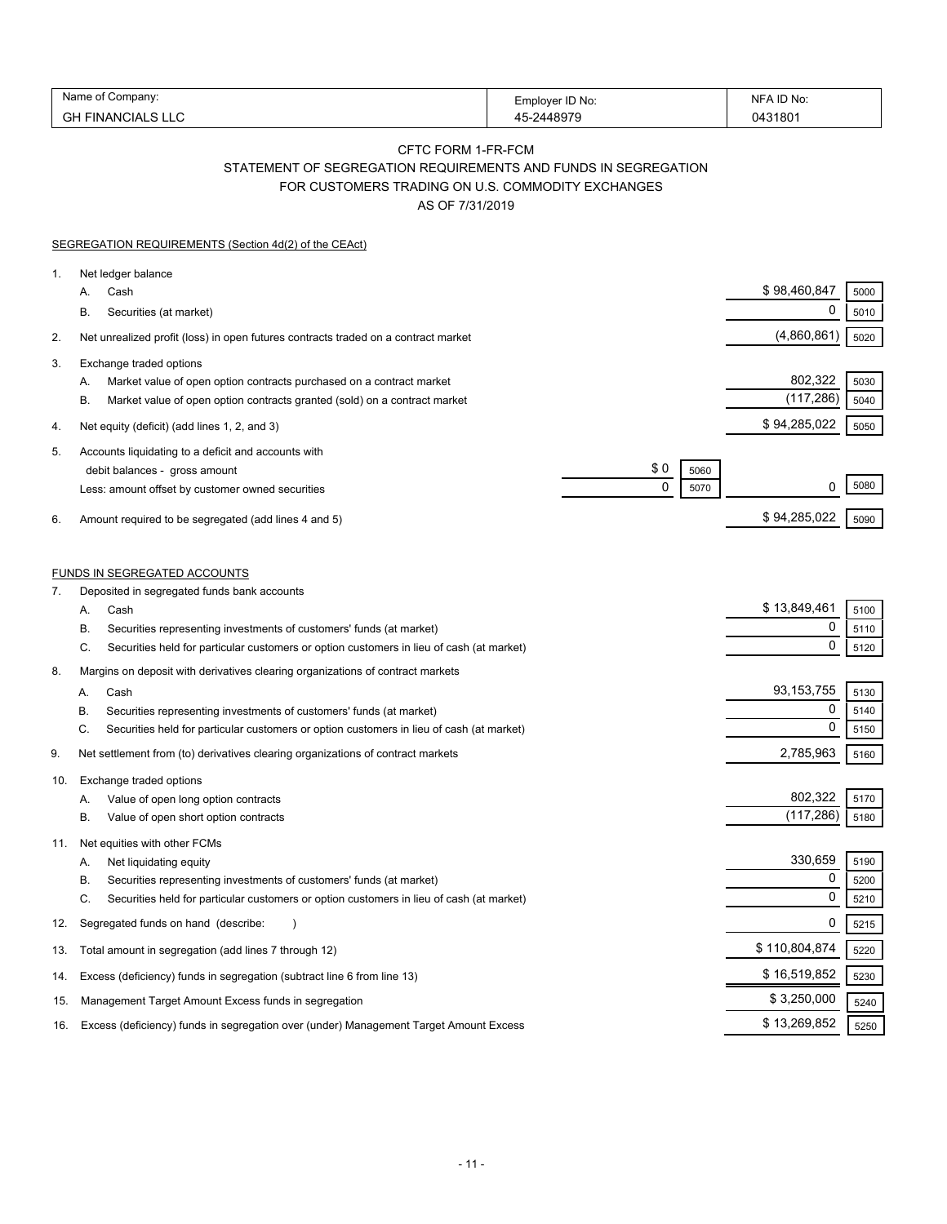| Name of Company:         | Employer ID No: | NFA ID No: |
|--------------------------|-----------------|------------|
| <b>GH FINANCIALS LLC</b> | 45-2448979      | 0431801    |

## CFTC FORM 1-FR-FCM

STATEMENT OF SEGREGATION REQUIREMENTS AND FUNDS IN SEGREGATION

FOR CUSTOMERS TRADING ON U.S. COMMODITY EXCHANGES

AS OF 7/31/2019

|     | SEGREGATION REQUIREMENTS (Section 4d(2) of the CEAct)                                                                                                                                                                                       |                       |                      |
|-----|---------------------------------------------------------------------------------------------------------------------------------------------------------------------------------------------------------------------------------------------|-----------------------|----------------------|
| 1.  | Net ledger balance<br>Cash<br>А.<br>В.<br>Securities (at market)                                                                                                                                                                            | \$98,460,847<br>0     | 5000<br>5010         |
| 2.  | Net unrealized profit (loss) in open futures contracts traded on a contract market                                                                                                                                                          | (4,860,861)           | 5020                 |
| 3.  | Exchange traded options                                                                                                                                                                                                                     |                       |                      |
|     | А.<br>Market value of open option contracts purchased on a contract market<br>В.<br>Market value of open option contracts granted (sold) on a contract market                                                                               | 802,322<br>(117, 286) | 5030<br>5040         |
| 4.  | Net equity (deficit) (add lines 1, 2, and 3)                                                                                                                                                                                                | \$94,285,022          | 5050                 |
| 5.  | Accounts liquidating to a deficit and accounts with<br>\$0<br>debit balances - gross amount<br>5060<br>$\mathbf 0$<br>5070<br>Less: amount offset by customer owned securities                                                              | 0                     | 5080                 |
| 6.  | Amount required to be segregated (add lines 4 and 5)                                                                                                                                                                                        | \$94,285,022          | 5090                 |
| 7.  | <b>FUNDS IN SEGREGATED ACCOUNTS</b><br>Deposited in segregated funds bank accounts                                                                                                                                                          |                       |                      |
|     | А.<br>Cash<br>В.<br>Securities representing investments of customers' funds (at market)                                                                                                                                                     | \$13,849,461<br>0     | 5100<br>5110         |
|     | С.<br>Securities held for particular customers or option customers in lieu of cash (at market)                                                                                                                                              | 0                     | 5120                 |
| 8.  | Margins on deposit with derivatives clearing organizations of contract markets                                                                                                                                                              |                       |                      |
|     | Cash<br>А.                                                                                                                                                                                                                                  | 93, 153, 755          | 5130                 |
|     | В.<br>Securities representing investments of customers' funds (at market)                                                                                                                                                                   | 0                     | 5140                 |
|     | C.<br>Securities held for particular customers or option customers in lieu of cash (at market)                                                                                                                                              | 0                     | 5150                 |
| 9.  | Net settlement from (to) derivatives clearing organizations of contract markets                                                                                                                                                             | 2,785,963             | 5160                 |
| 10. | Exchange traded options<br>Value of open long option contracts<br>А.<br>В.<br>Value of open short option contracts                                                                                                                          | 802,322<br>(117,286)  | 5170<br>5180         |
| 11. | Net equities with other FCMs<br>А.<br>Net liquidating equity<br>В.<br>Securities representing investments of customers' funds (at market)<br>C.<br>Securities held for particular customers or option customers in lieu of cash (at market) | 330,659<br>0<br>0     | 5190<br>5200<br>5210 |
| 12. | Segregated funds on hand (describe:                                                                                                                                                                                                         | 0                     | 5215                 |
| 13. | Total amount in segregation (add lines 7 through 12)                                                                                                                                                                                        | \$110,804,874         | 5220                 |
| 14. | Excess (deficiency) funds in segregation (subtract line 6 from line 13)                                                                                                                                                                     | \$16,519,852          | 5230                 |
| 15. | Management Target Amount Excess funds in segregation                                                                                                                                                                                        | \$3,250,000           | 5240                 |
| 16. | Excess (deficiency) funds in segregation over (under) Management Target Amount Excess                                                                                                                                                       | \$13,269,852          | 5250                 |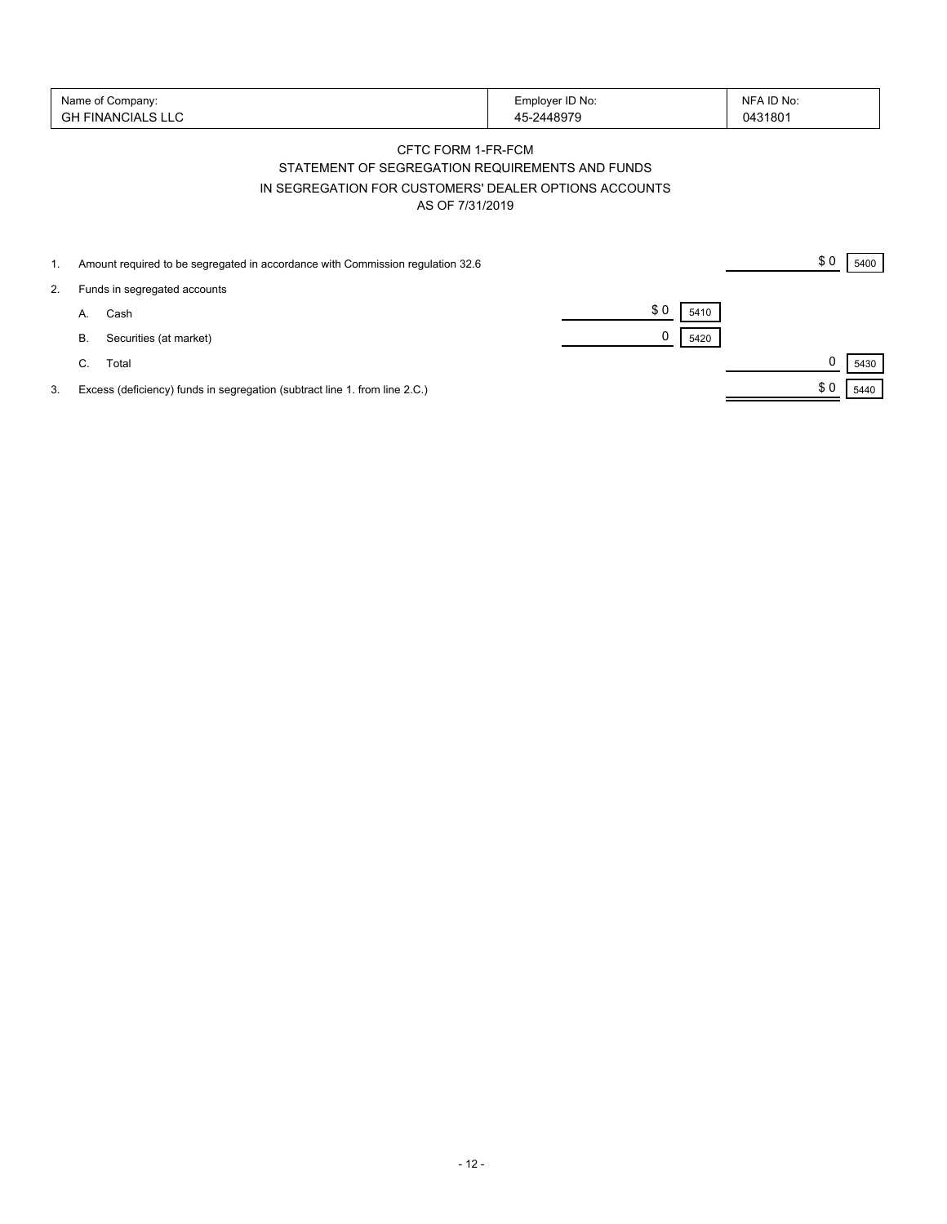| Name of Company:         | Employer ID No: | NFA ID No: |
|--------------------------|-----------------|------------|
| <b>GH FINANCIALS LLC</b> | 45-2448979      | 0431801    |

# CFTC FORM 1-FR-FCM STATEMENT OF SEGREGATION REQUIREMENTS AND FUNDS IN SEGREGATION FOR CUSTOMERS' DEALER OPTIONS ACCOUNTS AS OF 7/31/2019

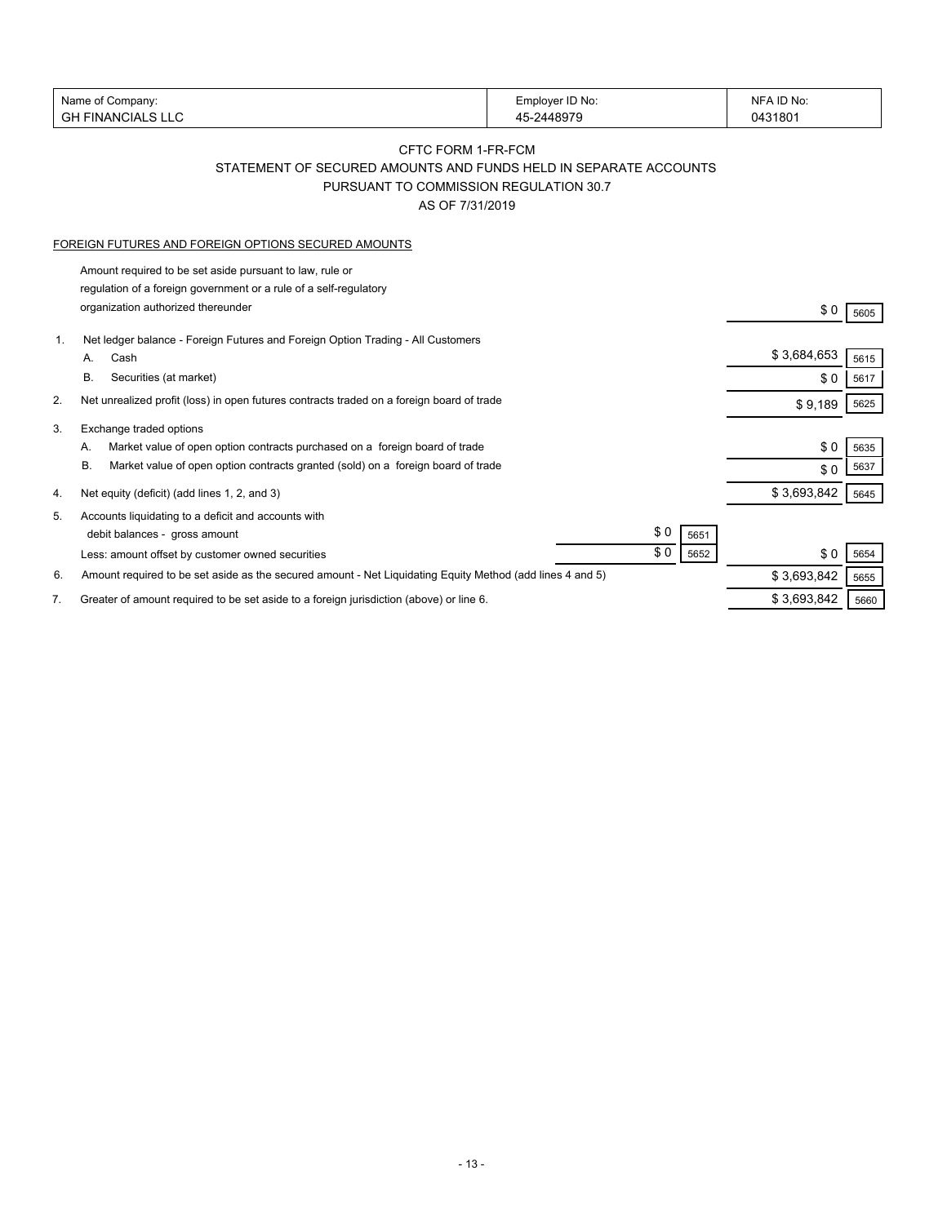| Name of Company:       | Employer ID No: | NFA ID No: |
|------------------------|-----------------|------------|
| I FINANCIALS LLC<br>GH | 45-2448979      | 0431801    |
|                        |                 |            |

# CFTC FORM 1-FR-FCM STATEMENT OF SECURED AMOUNTS AND FUNDS HELD IN SEPARATE ACCOUNTS PURSUANT TO COMMISSION REGULATION 30.7

AS OF 7/31/2019

#### FOREIGN FUTURES AND FOREIGN OPTIONS SECURED AMOUNTS

Amount required to be set aside pursuant to law, rule or regulation of a foreign government or a rule of a self-regulatory organization authorized thereunder \$ 0 5605

| 1. | Net ledger balance - Foreign Futures and Foreign Option Trading - All Customers                           |             |      |
|----|-----------------------------------------------------------------------------------------------------------|-------------|------|
|    | Cash<br>А.                                                                                                | \$3,684,653 | 5615 |
|    | В.<br>Securities (at market)                                                                              | \$0         | 5617 |
| 2. | Net unrealized profit (loss) in open futures contracts traded on a foreign board of trade                 | \$9,189     | 5625 |
| 3. | Exchange traded options                                                                                   |             |      |
|    | Market value of open option contracts purchased on a foreign board of trade<br>А.                         | \$0         | 5635 |
|    | <b>B.</b><br>Market value of open option contracts granted (sold) on a foreign board of trade             | \$0         | 5637 |
| 4. | Net equity (deficit) (add lines 1, 2, and 3)                                                              | \$3,693,842 | 5645 |
| 5. | Accounts liquidating to a deficit and accounts with                                                       |             |      |
|    | \$0<br>debit balances - gross amount<br>5651                                                              |             |      |
|    | \$0<br>5652<br>Less: amount offset by customer owned securities                                           | \$0         | 5654 |
| 6. | Amount required to be set aside as the secured amount - Net Liquidating Equity Method (add lines 4 and 5) | \$3,693,842 | 5655 |
|    | Greater of amount required to be set aside to a foreign jurisdiction (above) or line 6.                   | \$3,693,842 | 5660 |
|    |                                                                                                           |             |      |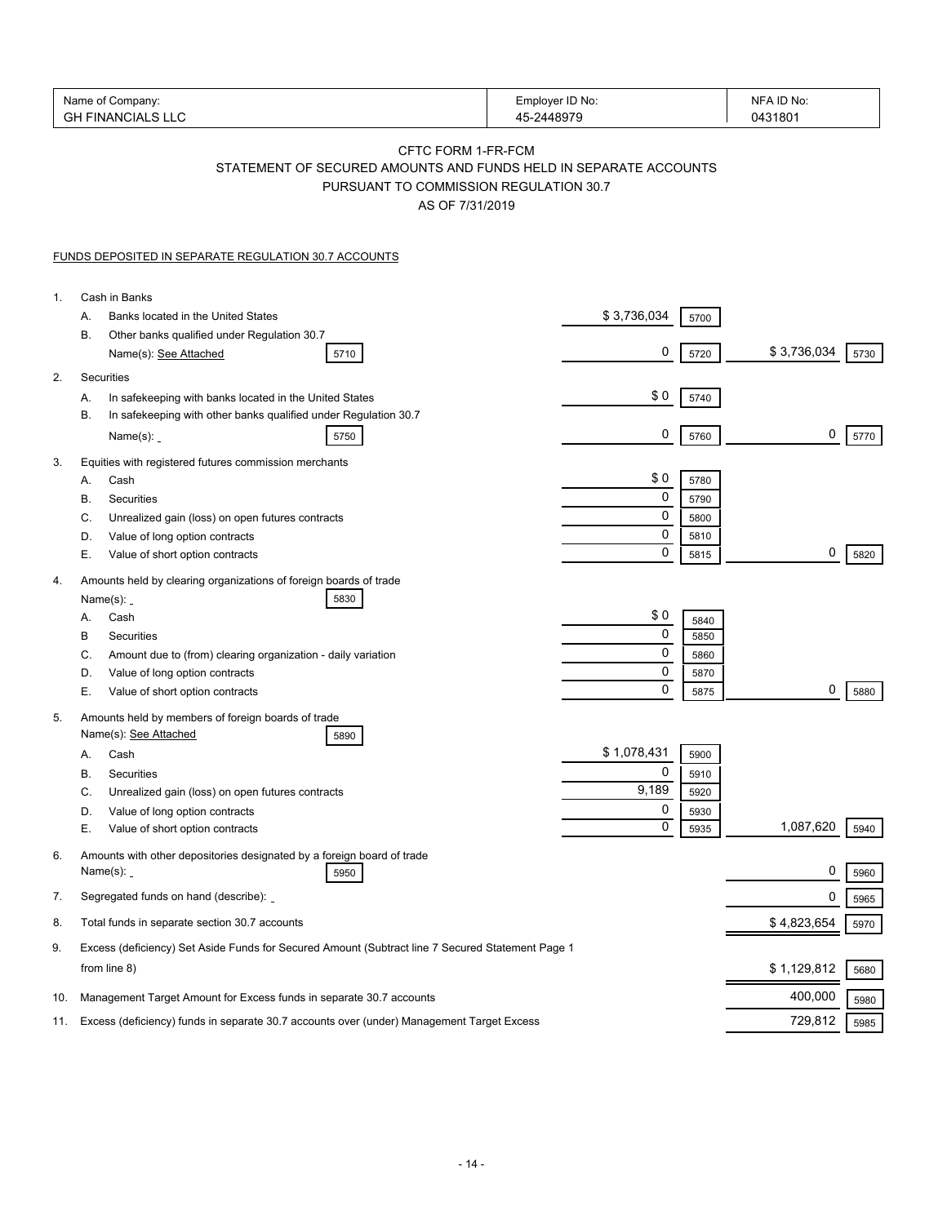| Name of Company:<br><b>GH FINANCIALS LLC</b> |                                                                                                                                                     | Employer ID No:<br>45-2448979 | NFA ID No:<br>0431801 |
|----------------------------------------------|-----------------------------------------------------------------------------------------------------------------------------------------------------|-------------------------------|-----------------------|
|                                              | CFTC FORM 1-FR-FCM<br>STATEMENT OF SECURED AMOUNTS AND FUNDS HELD IN SEPARATE ACCOUNTS<br>PURSUANT TO COMMISSION REGULATION 30.7<br>AS OF 7/31/2019 |                               |                       |
|                                              | <b>FUNDS DEPOSITED IN SEPARATE REGULATION 30.7 ACCOUNTS</b>                                                                                         |                               |                       |
| 1.                                           | Cash in Banks                                                                                                                                       |                               |                       |
|                                              | Banks located in the United States<br>А.                                                                                                            | \$3,736,034<br>5700           |                       |
|                                              | В.<br>Other banks qualified under Regulation 30.7<br>Name(s): See Attached<br>5710                                                                  | 0<br>5720                     | \$3,736,034<br>5730   |
| 2.                                           | Securities                                                                                                                                          |                               |                       |
|                                              | In safekeeping with banks located in the United States<br>А.                                                                                        | \$0<br>5740                   |                       |
|                                              | В.<br>In safekeeping with other banks qualified under Regulation 30.7<br>Name(s):<br>5750                                                           | 0<br>5760                     | 0<br>5770             |
| 3.                                           | Equities with registered futures commission merchants                                                                                               |                               |                       |
|                                              | Cash<br>А.                                                                                                                                          | \$0<br>5780                   |                       |
|                                              | В.<br>Securities                                                                                                                                    | 0<br>5790                     |                       |
|                                              | C.<br>Unrealized gain (loss) on open futures contracts                                                                                              | 0<br>5800                     |                       |
|                                              | D.<br>Value of long option contracts                                                                                                                | 0<br>5810                     |                       |
|                                              | Е.<br>Value of short option contracts                                                                                                               | $\mathbf 0$<br>5815           | 0<br>5820             |
| 4.                                           | Amounts held by clearing organizations of foreign boards of trade                                                                                   |                               |                       |
|                                              | Name $(s)$ : _<br>5830<br>Cash<br>А.                                                                                                                | \$0                           |                       |
|                                              | В<br>Securities                                                                                                                                     | 5840<br>0<br>5850             |                       |
|                                              | C.<br>Amount due to (from) clearing organization - daily variation                                                                                  | 0<br>5860                     |                       |
|                                              | D.<br>Value of long option contracts                                                                                                                | 0<br>5870                     |                       |
|                                              | Е.<br>Value of short option contracts                                                                                                               | $\mathbf 0$<br>5875           | 0<br>5880             |
| 5.                                           | Amounts held by members of foreign boards of trade<br>Name(s): See Attached                                                                         |                               |                       |
|                                              | 5890<br>Cash<br>А.                                                                                                                                  | \$1,078,431<br>5900           |                       |
|                                              | B<br>Securities                                                                                                                                     | 0<br>5910                     |                       |
|                                              | С.<br>Unrealized gain (loss) on open futures contracts                                                                                              | 9,189<br>5920                 |                       |
|                                              | D.<br>Value of long option contracts                                                                                                                | 0<br>5930                     |                       |
|                                              | Е.<br>Value of short option contracts                                                                                                               | 0<br>5935                     | 1,087,620<br>5940     |
| 6.                                           | Amounts with other depositories designated by a foreign board of trade<br>Name $(s)$ : $\overline{\phantom{0}}$<br>5950                             |                               | 0<br>5960             |
| 7.                                           | Segregated funds on hand (describe):                                                                                                                |                               | 0<br>5965             |
| 8.                                           | Total funds in separate section 30.7 accounts                                                                                                       |                               | \$4,823,654<br>5970   |
| 9.                                           | Excess (deficiency) Set Aside Funds for Secured Amount (Subtract line 7 Secured Statement Page 1                                                    |                               |                       |
|                                              | from line 8)                                                                                                                                        |                               | \$1,129,812<br>5680   |
| 10.                                          | Management Target Amount for Excess funds in separate 30.7 accounts                                                                                 |                               | 400,000<br>5980       |
| 11.                                          | Excess (deficiency) funds in separate 30.7 accounts over (under) Management Target Excess                                                           |                               | 729,812<br>5985       |